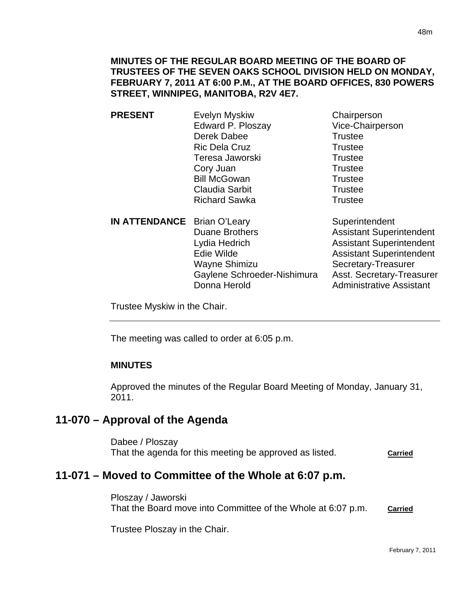#### **MINUTES OF THE REGULAR BOARD MEETING OF THE BOARD OF TRUSTEES OF THE SEVEN OAKS SCHOOL DIVISION HELD ON MONDAY, FEBRUARY 7, 2011 AT 6:00 P.M., AT THE BOARD OFFICES, 830 POWERS STREET, WINNIPEG, MANITOBA, R2V 4E7.**

- **PRESENT** Evelyn Myskiw Chairperson Edward P. Ploszay Vice-Chairperson Derek Dabee Trustee Ric Dela Cruz Trustee Teresa Jaworski **Trustee** Cory Juan Trustee Bill McGowan Trustee Claudia Sarbit **Trustee** Richard Sawka Trustee **IN ATTENDANCE** Brian O'Leary Superintendent
- Duane Brothers **Assistant Superintendent** Lydia Hedrich **Assistant Superintendent** Edie Wilde **Assistant Superintendent** Wayne Shimizu Secretary-Treasurer Gaylene Schroeder-Nishimura Asst. Secretary-Treasurer Donna Herold **Administrative Assistant**

Trustee Myskiw in the Chair.

The meeting was called to order at 6:05 p.m.

## **MINUTES**

 $\overline{a}$ 

Approved the minutes of the Regular Board Meeting of Monday, January 31, 2011.

# **11-070 – Approval of the Agenda**

Dabee / Ploszay That the agenda for this meeting be approved as listed. **Carried**

# **11-071 – Moved to Committee of the Whole at 6:07 p.m.**

Ploszay / Jaworski That the Board move into Committee of the Whole at 6:07 p.m. **Carried**

Trustee Ploszay in the Chair.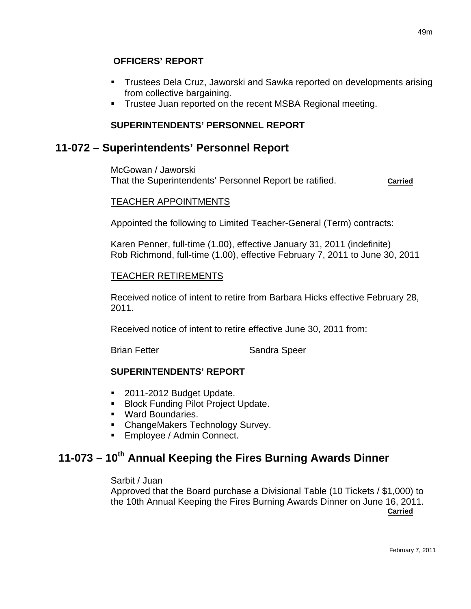- Trustees Dela Cruz, Jaworski and Sawka reported on developments arising from collective bargaining.
- **Trustee Juan reported on the recent MSBA Regional meeting.**

## **SUPERINTENDENTS' PERSONNEL REPORT**

## **11-072 – Superintendents' Personnel Report**

McGowan / Jaworski That the Superintendents' Personnel Report be ratified. **Carried**

#### TEACHER APPOINTMENTS

Appointed the following to Limited Teacher-General (Term) contracts:

Karen Penner, full-time (1.00), effective January 31, 2011 (indefinite) Rob Richmond, full-time (1.00), effective February 7, 2011 to June 30, 2011

#### TEACHER RETIREMENTS

Received notice of intent to retire from Barbara Hicks effective February 28, 2011.

Received notice of intent to retire effective June 30, 2011 from:

Brian Fetter Sandra Speer

## **SUPERINTENDENTS' REPORT**

- 2011-2012 Budget Update.
- **Block Funding Pilot Project Update.**
- **Ward Boundaries.**
- **ChangeMakers Technology Survey.**
- **Employee / Admin Connect.**

# **11-073 – 10th Annual Keeping the Fires Burning Awards Dinner**

#### Sarbit / Juan

Approved that the Board purchase a Divisional Table (10 Tickets / \$1,000) to the 10th Annual Keeping the Fires Burning Awards Dinner on June 16, 2011. *Carried*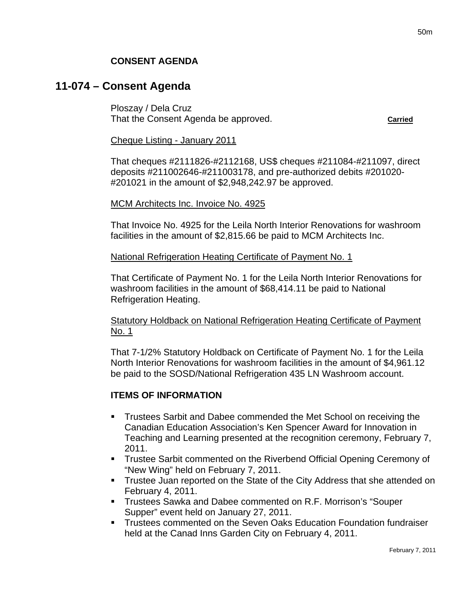# **11-074 – Consent Agenda**

Ploszay / Dela Cruz That the Consent Agenda be approved. **Carried**

#### Cheque Listing - January 2011

That cheques #2111826-#2112168, US\$ cheques #211084-#211097, direct deposits #211002646-#211003178, and pre-authorized debits #201020- #201021 in the amount of \$2,948,242.97 be approved.

#### MCM Architects Inc. Invoice No. 4925

That Invoice No. 4925 for the Leila North Interior Renovations for washroom facilities in the amount of \$2,815.66 be paid to MCM Architects Inc.

#### National Refrigeration Heating Certificate of Payment No. 1

That Certificate of Payment No. 1 for the Leila North Interior Renovations for washroom facilities in the amount of \$68,414.11 be paid to National Refrigeration Heating.

#### Statutory Holdback on National Refrigeration Heating Certificate of Payment No. 1

That 7-1/2% Statutory Holdback on Certificate of Payment No. 1 for the Leila North Interior Renovations for washroom facilities in the amount of \$4,961.12 be paid to the SOSD/National Refrigeration 435 LN Washroom account.

#### **ITEMS OF INFORMATION**

- Trustees Sarbit and Dabee commended the Met School on receiving the Canadian Education Association's Ken Spencer Award for Innovation in Teaching and Learning presented at the recognition ceremony, February 7, 2011.
- **Trustee Sarbit commented on the Riverbend Official Opening Ceremony of** "New Wing" held on February 7, 2011.
- Trustee Juan reported on the State of the City Address that she attended on February 4, 2011.
- Trustees Sawka and Dabee commented on R.F. Morrison's "Souper Supper" event held on January 27, 2011.
- Trustees commented on the Seven Oaks Education Foundation fundraiser held at the Canad Inns Garden City on February 4, 2011.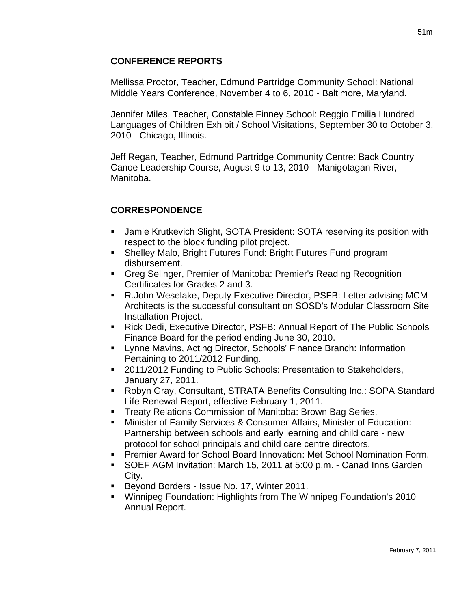#### **CONFERENCE REPORTS**

Mellissa Proctor, Teacher, Edmund Partridge Community School: National Middle Years Conference, November 4 to 6, 2010 - Baltimore, Maryland.

Jennifer Miles, Teacher, Constable Finney School: Reggio Emilia Hundred Languages of Children Exhibit / School Visitations, September 30 to October 3, 2010 - Chicago, Illinois.

Jeff Regan, Teacher, Edmund Partridge Community Centre: Back Country Canoe Leadership Course, August 9 to 13, 2010 - Manigotagan River, Manitoba.

## **CORRESPONDENCE**

- Jamie Krutkevich Slight, SOTA President: SOTA reserving its position with respect to the block funding pilot project.
- Shelley Malo, Bright Futures Fund: Bright Futures Fund program disbursement.
- Greg Selinger, Premier of Manitoba: Premier's Reading Recognition Certificates for Grades 2 and 3.
- R.John Weselake, Deputy Executive Director, PSFB: Letter advising MCM Architects is the successful consultant on SOSD's Modular Classroom Site Installation Project.
- Rick Dedi, Executive Director, PSFB: Annual Report of The Public Schools Finance Board for the period ending June 30, 2010.
- Lynne Mavins, Acting Director, Schools' Finance Branch: Information Pertaining to 2011/2012 Funding.
- 2011/2012 Funding to Public Schools: Presentation to Stakeholders, January 27, 2011.
- Robyn Gray, Consultant, STRATA Benefits Consulting Inc.: SOPA Standard Life Renewal Report, effective February 1, 2011.
- **Treaty Relations Commission of Manitoba: Brown Bag Series.**
- Minister of Family Services & Consumer Affairs, Minister of Education: Partnership between schools and early learning and child care - new protocol for school principals and child care centre directors.
- Premier Award for School Board Innovation: Met School Nomination Form.
- SOEF AGM Invitation: March 15, 2011 at 5:00 p.m. Canad Inns Garden City.
- Beyond Borders Issue No. 17, Winter 2011.
- Winnipeg Foundation: Highlights from The Winnipeg Foundation's 2010 Annual Report.